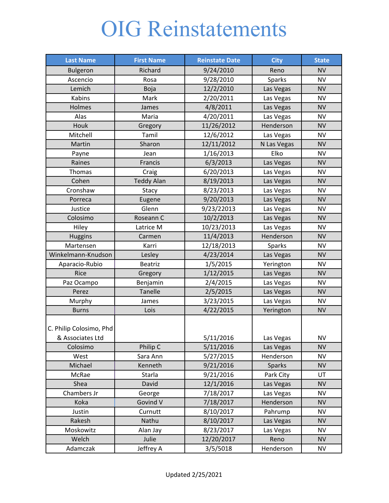## OIG Reinstatements

| <b>Last Name</b>                            | <b>First Name</b> | <b>Reinstate Date</b> | <b>City</b>   | <b>State</b> |
|---------------------------------------------|-------------------|-----------------------|---------------|--------------|
| <b>Bulgeron</b>                             | Richard           | 9/24/2010             | Reno          | <b>NV</b>    |
| Ascencio                                    | Rosa              | 9/28/2010             | Sparks        | <b>NV</b>    |
| Lemich                                      | Boja              | 12/2/2010             | Las Vegas     | <b>NV</b>    |
| Kabins                                      | Mark              | 2/20/2011             | Las Vegas     | <b>NV</b>    |
| Holmes                                      | James             | 4/8/2011              | Las Vegas     | <b>NV</b>    |
| Alas                                        | Maria             | 4/20/2011             | Las Vegas     | <b>NV</b>    |
| Houk                                        | Gregory           | 11/26/2012            | Henderson     | <b>NV</b>    |
| Mitchell                                    | Tamil             | 12/6/2012             | Las Vegas     | <b>NV</b>    |
| Martin                                      | Sharon            | 12/11/2012            | N Las Vegas   | <b>NV</b>    |
| Payne                                       | Jean              | 1/16/2013             | Elko          | <b>NV</b>    |
| Raines                                      | Francis           | 6/3/2013              | Las Vegas     | <b>NV</b>    |
| Thomas                                      | Craig             | 6/20/2013             | Las Vegas     | <b>NV</b>    |
| Cohen                                       | <b>Teddy Alan</b> | 8/19/2013             | Las Vegas     | <b>NV</b>    |
| Cronshaw                                    | Stacy             | 8/23/2013             | Las Vegas     | <b>NV</b>    |
| Porreca                                     | Eugene            | 9/20/2013             | Las Vegas     | <b>NV</b>    |
| Justice                                     | Glenn             | 9/23/22013            | Las Vegas     | <b>NV</b>    |
| Colosimo                                    | Roseann C         | 10/2/2013             | Las Vegas     | <b>NV</b>    |
| Hiley                                       | Latrice M         | 10/23/2013            | Las Vegas     | <b>NV</b>    |
| <b>Huggins</b>                              | Carmen            | 11/4/2013             | Henderson     | <b>NV</b>    |
| Martensen                                   | Karri             | 12/18/2013            | Sparks        | <b>NV</b>    |
| Winkelmann-Knudson                          | Lesley            | 4/23/2014             | Las Vegas     | <b>NV</b>    |
| Aparacio-Rubio                              | <b>Beatriz</b>    | 1/5/2015              | Yerington     | <b>NV</b>    |
| Rice                                        | Gregory           | 1/12/2015             | Las Vegas     | <b>NV</b>    |
| Paz Ocampo                                  | Benjamin          | 2/4/2015              | Las Vegas     | <b>NV</b>    |
| Perez                                       | Tanelle           | 2/5/2015              | Las Vegas     | <b>NV</b>    |
| Murphy                                      | James             | 3/23/2015             | Las Vegas     | <b>NV</b>    |
| <b>Burns</b>                                | Lois              | 4/22/2015             | Yerington     | <b>NV</b>    |
| C. Philip Colosimo, Phd<br>& Associates Ltd |                   | 5/11/2016             | Las Vegas     | <b>NV</b>    |
| Colosimo                                    | Philip C          | 5/11/2016             | Las Vegas     | <b>NV</b>    |
| West                                        | Sara Ann          | 5/27/2015             | Henderson     | <b>NV</b>    |
| Michael                                     | Kenneth           | 9/21/2016             | <b>Sparks</b> | <b>NV</b>    |
| McRae                                       | Starla            | 9/21/2016             | Park City     | UT           |
| Shea                                        | David             | 12/1/2016             | Las Vegas     | <b>NV</b>    |
| Chambers Jr                                 | George            | 7/18/2017             | Las Vegas     | <b>NV</b>    |
| Koka                                        | Govind V          | 7/18/2017             | Henderson     | <b>NV</b>    |
| Justin                                      | Curnutt           | 8/10/2017             | Pahrump       | <b>NV</b>    |
| Rakesh                                      | Nathu             | 8/10/2017             | Las Vegas     | <b>NV</b>    |
| Moskowitz                                   | Alan Jay          | 8/23/2017             | Las Vegas     | <b>NV</b>    |
| Welch                                       | Julie             | 12/20/2017            | Reno          | <b>NV</b>    |
| Adamczak                                    | Jeffrey A         | 3/5/5018              | Henderson     | <b>NV</b>    |